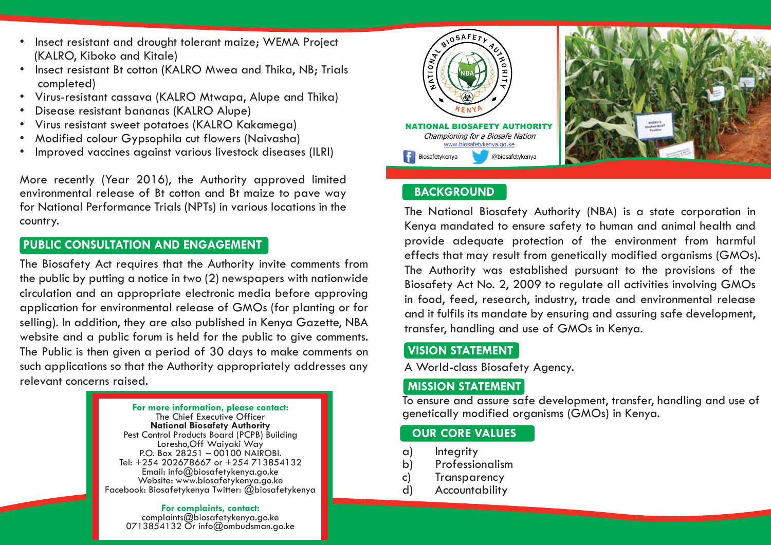- Insect resistant and drought tolerant maize: WEMA Project (KALRO, Kiboko and Kitale)
- Insect resistant Bt cotton (KALRO Mwea and Thika, NB; Trials completed)
- Virus-resistant cassava (KALRO Mtwapa, Alupe and Thika)
- Disease resistant bananas (KALRO Alupe)
- Virus resistant sweet potatoes (KALRO Kakamega)
- Modified colour Gypsophila cut flowers (Naivasha)
- Improved vaccines against various livestock diseases (ILRI)

More recently (Year 2016), the Authority approved limited environmental release of Bt cotton and Bt maize to pave way for National Performance Trials (NPTs) in various locations in the country.

## **PUBLIC CONSULTATION AND ENGAGEMENT**

The Biosafety Act requires that the Authority invite comments from the public by putting a notice in two (2) newspapers with nationwide circulation and an appropriate electronic media before approving application for environmental release of GMOs (for planting or for selling). In addition, they are also published in Kenya Gazette, NBA website and a public forum is held for the public to give comments. The Public is then given a period of 30 days to make comments on such applications so that the Authority appropriately addresses any relevant concerns raised.



**For complaints, contact:**<br>complaints@biosafetykenya.go.ke<br>0713854132 Or info@ombudsman.go.ke



## **BACKGROUND**

The National Biosafety Authority (NBA) is a state corporation in Kenya mandated to ensure safety to human and animal health and provide adequate protection of the environment from harmful effects that may result from genetically modified organisms (GMOs). The Authority was established pursuant to the provisions of the Biosafety Act No. 2, 2009 to regulate all activities involving GMOs in food, feed, research, industry, trade and environmental release and it fulfils its mandate by ensuring and assuring safe development, transfer, handling and use of GMOs in Kenya.

# **VISION STATEMENT**

A World-class Biosafety Agency.

# **MISSION STATEMENT**

To ensure and assure safe development, transfer, handling and use of genetically modified organisms (GMOs) in Kenya.

## **OUR CORE VALUES**

- a) Integrity
- b) Professionalism
- c) Transparency
- d) Accountability